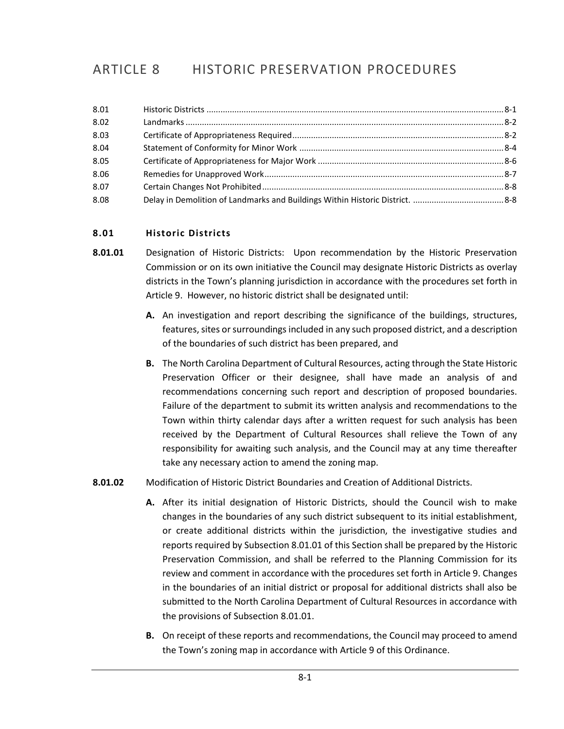# ARTICLE 8 HISTORIC PRESERVATION PROCEDURES

| 8.01 |  |
|------|--|
| 8.02 |  |
| 8.03 |  |
| 8.04 |  |
| 8.05 |  |
| 8.06 |  |
| 8.07 |  |
| 8.08 |  |

# <span id="page-0-0"></span>**8.01 Historic Districts**

- **8.01.01** Designation of Historic Districts: Upon recommendation by the Historic Preservation Commission or on its own initiative the Council may designate Historic Districts as overlay districts in the Town's planning jurisdiction in accordance with the procedures set forth in Article 9. However, no historic district shall be designated until:
	- **A.** An investigation and report describing the significance of the buildings, structures, features, sites or surroundings included in any such proposed district, and a description of the boundaries of such district has been prepared, and
	- **B.** The North Carolina Department of Cultural Resources, acting through the State Historic Preservation Officer or their designee, shall have made an analysis of and recommendations concerning such report and description of proposed boundaries. Failure of the department to submit its written analysis and recommendations to the Town within thirty calendar days after a written request for such analysis has been received by the Department of Cultural Resources shall relieve the Town of any responsibility for awaiting such analysis, and the Council may at any time thereafter take any necessary action to amend the zoning map.
- **8.01.02** Modification of Historic District Boundaries and Creation of Additional Districts.
	- **A.** After its initial designation of Historic Districts, should the Council wish to make changes in the boundaries of any such district subsequent to its initial establishment, or create additional districts within the jurisdiction, the investigative studies and reports required by Subsection 8.01.01 of this Section shall be prepared by the Historic Preservation Commission, and shall be referred to the Planning Commission for its review and comment in accordance with the procedures set forth in Article 9. Changes in the boundaries of an initial district or proposal for additional districts shall also be submitted to the North Carolina Department of Cultural Resources in accordance with the provisions of Subsection 8.01.01.
	- **B.** On receipt of these reports and recommendations, the Council may proceed to amend the Town's zoning map in accordance with Article 9 of this Ordinance.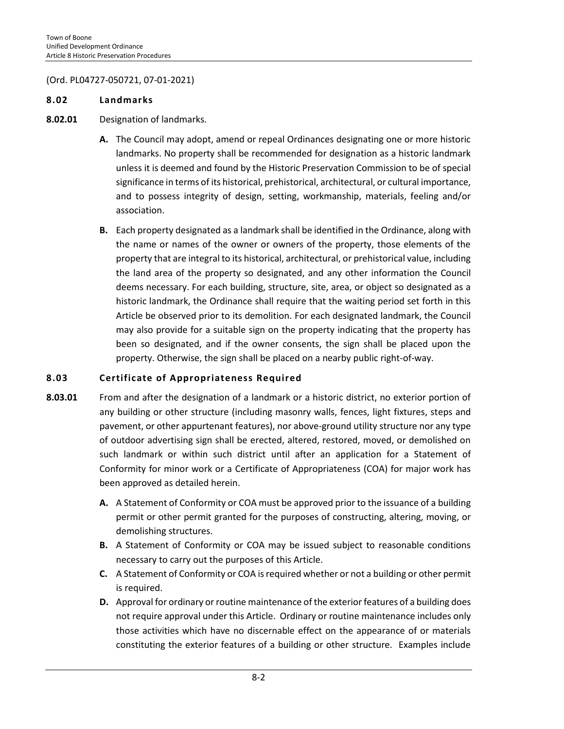# (Ord. PL04727-050721, 07-01-2021)

#### <span id="page-1-0"></span>**8.02 Landmarks**

# **8.02.01** Designation of landmarks.

- **A.** The Council may adopt, amend or repeal Ordinances designating one or more historic landmarks. No property shall be recommended for designation as a historic landmark unless it is deemed and found by the Historic Preservation Commission to be of special significance in terms of its historical, prehistorical, architectural, or cultural importance, and to possess integrity of design, setting, workmanship, materials, feeling and/or association.
- **B.** Each property designated as a landmark shall be identified in the Ordinance, along with the name or names of the owner or owners of the property, those elements of the property that are integral to its historical, architectural, or prehistorical value, including the land area of the property so designated, and any other information the Council deems necessary. For each building, structure, site, area, or object so designated as a historic landmark, the Ordinance shall require that the waiting period set forth in this Article be observed prior to its demolition. For each designated landmark, the Council may also provide for a suitable sign on the property indicating that the property has been so designated, and if the owner consents, the sign shall be placed upon the property. Otherwise, the sign shall be placed on a nearby public right-of-way.

#### <span id="page-1-1"></span>**8.03 Certificate of Appropriateness Required**

- **8.03.01** From and after the designation of a landmark or a historic district, no exterior portion of any building or other structure (including masonry walls, fences, light fixtures, steps and pavement, or other appurtenant features), nor above-ground utility structure nor any type of outdoor advertising sign shall be erected, altered, restored, moved, or demolished on such landmark or within such district until after an application for a Statement of Conformity for minor work or a Certificate of Appropriateness (COA) for major work has been approved as detailed herein.
	- **A.** A Statement of Conformity or COA must be approved prior to the issuance of a building permit or other permit granted for the purposes of constructing, altering, moving, or demolishing structures.
	- **B.** A Statement of Conformity or COA may be issued subject to reasonable conditions necessary to carry out the purposes of this Article.
	- **C.** A Statement of Conformity or COA is required whether or not a building or other permit is required.
	- **D.** Approval for ordinary or routine maintenance of the exterior features of a building does not require approval under this Article. Ordinary or routine maintenance includes only those activities which have no discernable effect on the appearance of or materials constituting the exterior features of a building or other structure. Examples include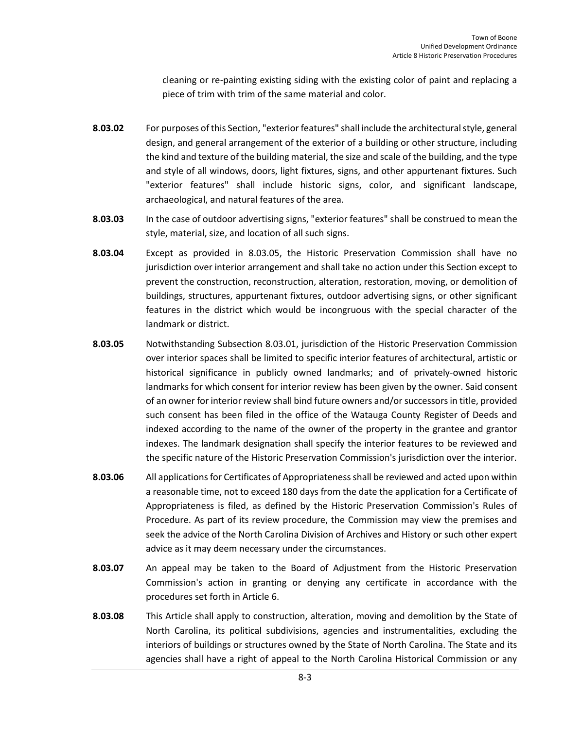cleaning or re-painting existing siding with the existing color of paint and replacing a piece of trim with trim of the same material and color.

- **8.03.02** For purposes of this Section, "exterior features" shall include the architectural style, general design, and general arrangement of the exterior of a building or other structure, including the kind and texture of the building material, the size and scale of the building, and the type and style of all windows, doors, light fixtures, signs, and other appurtenant fixtures. Such "exterior features" shall include historic signs, color, and significant landscape, archaeological, and natural features of the area.
- **8.03.03** In the case of outdoor advertising signs, "exterior features" shall be construed to mean the style, material, size, and location of all such signs.
- **8.03.04** Except as provided in 8.03.05, the Historic Preservation Commission shall have no jurisdiction over interior arrangement and shall take no action under this Section except to prevent the construction, reconstruction, alteration, restoration, moving, or demolition of buildings, structures, appurtenant fixtures, outdoor advertising signs, or other significant features in the district which would be incongruous with the special character of the landmark or district.
- **8.03.05** Notwithstanding Subsection 8.03.01, jurisdiction of the Historic Preservation Commission over interior spaces shall be limited to specific interior features of architectural, artistic or historical significance in publicly owned landmarks; and of privately-owned historic landmarks for which consent for interior review has been given by the owner. Said consent of an owner for interior review shall bind future owners and/or successors in title, provided such consent has been filed in the office of the Watauga County Register of Deeds and indexed according to the name of the owner of the property in the grantee and grantor indexes. The landmark designation shall specify the interior features to be reviewed and the specific nature of the Historic Preservation Commission's jurisdiction over the interior.
- **8.03.06** All applications for Certificates of Appropriateness shall be reviewed and acted upon within a reasonable time, not to exceed 180 days from the date the application for a Certificate of Appropriateness is filed, as defined by the Historic Preservation Commission's Rules of Procedure. As part of its review procedure, the Commission may view the premises and seek the advice of the North Carolina Division of Archives and History or such other expert advice as it may deem necessary under the circumstances.
- **8.03.07** An appeal may be taken to the Board of Adjustment from the Historic Preservation Commission's action in granting or denying any certificate in accordance with the procedures set forth in Article 6.
- **8.03.08** This Article shall apply to construction, alteration, moving and demolition by the State of North Carolina, its political subdivisions, agencies and instrumentalities, excluding the interiors of buildings or structures owned by the State of North Carolina. The State and its agencies shall have a right of appeal to the North Carolina Historical Commission or any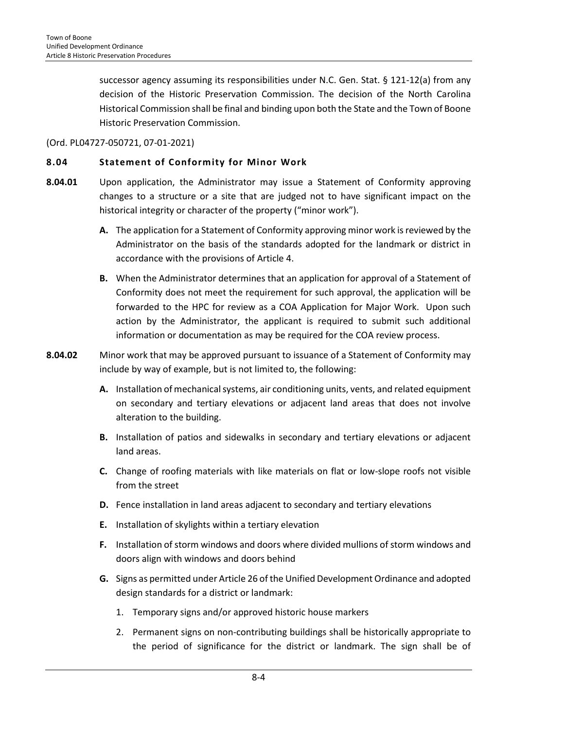successor agency assuming its responsibilities under N.C. Gen. Stat. § 121-12(a) from any decision of the Historic Preservation Commission. The decision of the North Carolina Historical Commission shall be final and binding upon both the State and the Town of Boone Historic Preservation Commission.

(Ord. PL04727-050721, 07-01-2021)

# <span id="page-3-0"></span>**8.04 Statement of Conformity for Minor Work**

- **8.04.01** Upon application, the Administrator may issue a Statement of Conformity approving changes to a structure or a site that are judged not to have significant impact on the historical integrity or character of the property ("minor work").
	- **A.** The application for a Statement of Conformity approving minor work is reviewed by the Administrator on the basis of the standards adopted for the landmark or district in accordance with the provisions of Article 4.
	- **B.** When the Administrator determines that an application for approval of a Statement of Conformity does not meet the requirement for such approval, the application will be forwarded to the HPC for review as a COA Application for Major Work. Upon such action by the Administrator, the applicant is required to submit such additional information or documentation as may be required for the COA review process.
- **8.04.02** Minor work that may be approved pursuant to issuance of a Statement of Conformity may include by way of example, but is not limited to, the following:
	- **A.** Installation of mechanical systems, air conditioning units, vents, and related equipment on secondary and tertiary elevations or adjacent land areas that does not involve alteration to the building.
	- **B.** Installation of patios and sidewalks in secondary and tertiary elevations or adjacent land areas.
	- **C.** Change of roofing materials with like materials on flat or low-slope roofs not visible from the street
	- **D.** Fence installation in land areas adjacent to secondary and tertiary elevations
	- **E.** Installation of skylights within a tertiary elevation
	- **F.** Installation of storm windows and doors where divided mullions of storm windows and doors align with windows and doors behind
	- **G.** Signs as permitted under Article 26 of the Unified Development Ordinance and adopted design standards for a district or landmark:
		- 1. Temporary signs and/or approved historic house markers
		- 2. Permanent signs on non-contributing buildings shall be historically appropriate to the period of significance for the district or landmark. The sign shall be of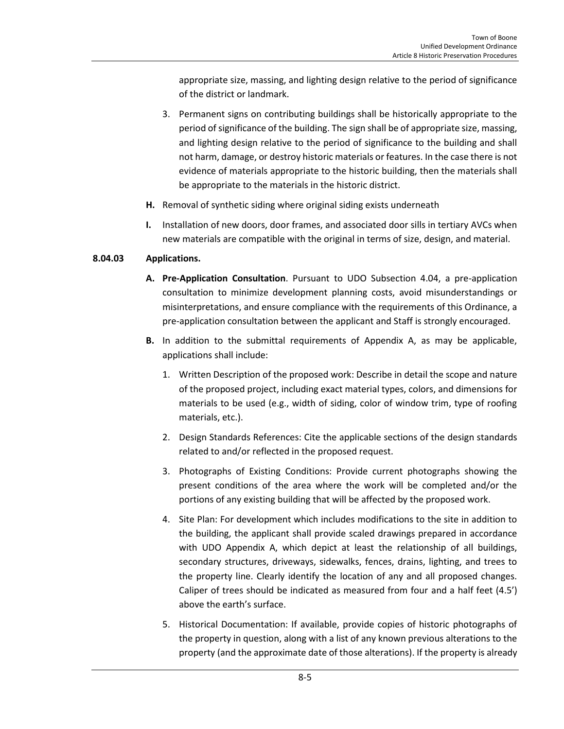appropriate size, massing, and lighting design relative to the period of significance of the district or landmark.

- 3. Permanent signs on contributing buildings shall be historically appropriate to the period of significance of the building. The sign shall be of appropriate size, massing, and lighting design relative to the period of significance to the building and shall not harm, damage, or destroy historic materials or features. In the case there is not evidence of materials appropriate to the historic building, then the materials shall be appropriate to the materials in the historic district.
- **H.** Removal of synthetic siding where original siding exists underneath
- **I.** Installation of new doors, door frames, and associated door sills in tertiary AVCs when new materials are compatible with the original in terms of size, design, and material.

# **8.04.03 Applications.**

- **A. Pre-Application Consultation**. Pursuant to UDO Subsection 4.04, a pre-application consultation to minimize development planning costs, avoid misunderstandings or misinterpretations, and ensure compliance with the requirements of this Ordinance, a pre-application consultation between the applicant and Staff is strongly encouraged.
- **B.** In addition to the submittal requirements of Appendix A, as may be applicable, applications shall include:
	- 1. Written Description of the proposed work: Describe in detail the scope and nature of the proposed project, including exact material types, colors, and dimensions for materials to be used (e.g., width of siding, color of window trim, type of roofing materials, etc.).
	- 2. Design Standards References: Cite the applicable sections of the design standards related to and/or reflected in the proposed request.
	- 3. Photographs of Existing Conditions: Provide current photographs showing the present conditions of the area where the work will be completed and/or the portions of any existing building that will be affected by the proposed work.
	- 4. Site Plan: For development which includes modifications to the site in addition to the building, the applicant shall provide scaled drawings prepared in accordance with UDO Appendix A, which depict at least the relationship of all buildings, secondary structures, driveways, sidewalks, fences, drains, lighting, and trees to the property line. Clearly identify the location of any and all proposed changes. Caliper of trees should be indicated as measured from four and a half feet (4.5') above the earth's surface.
	- 5. Historical Documentation: If available, provide copies of historic photographs of the property in question, along with a list of any known previous alterations to the property (and the approximate date of those alterations). If the property is already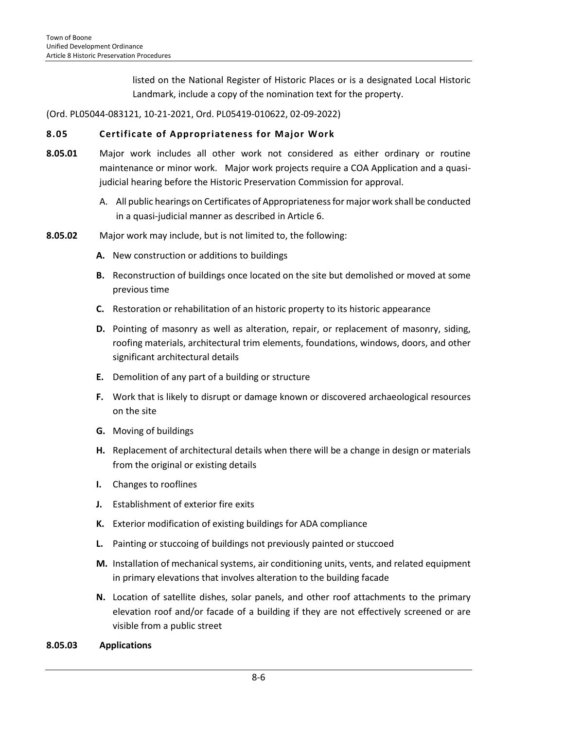listed on the National Register of Historic Places or is a designated Local Historic Landmark, include a copy of the nomination text for the property.

(Ord. PL05044-083121, 10-21-2021, Ord. PL05419-010622, 02-09-2022)

#### <span id="page-5-0"></span>**8.05 Certificate of Appropriateness for Major Work**

- **8.05.01** Major work includes all other work not considered as either ordinary or routine maintenance or minor work. Major work projects require a COA Application and a quasijudicial hearing before the Historic Preservation Commission for approval.
	- A. All public hearings on Certificates of Appropriateness for major work shall be conducted in a quasi-judicial manner as described in Article 6.
- **8.05.02** Major work may include, but is not limited to, the following:
	- **A.** New construction or additions to buildings
	- **B.** Reconstruction of buildings once located on the site but demolished or moved at some previous time
	- **C.** Restoration or rehabilitation of an historic property to its historic appearance
	- **D.** Pointing of masonry as well as alteration, repair, or replacement of masonry, siding, roofing materials, architectural trim elements, foundations, windows, doors, and other significant architectural details
	- **E.** Demolition of any part of a building or structure
	- **F.** Work that is likely to disrupt or damage known or discovered archaeological resources on the site
	- **G.** Moving of buildings
	- **H.** Replacement of architectural details when there will be a change in design or materials from the original or existing details
	- **I.** Changes to rooflines
	- **J.** Establishment of exterior fire exits
	- **K.** Exterior modification of existing buildings for ADA compliance
	- **L.** Painting or stuccoing of buildings not previously painted or stuccoed
	- **M.** Installation of mechanical systems, air conditioning units, vents, and related equipment in primary elevations that involves alteration to the building facade
	- **N.** Location of satellite dishes, solar panels, and other roof attachments to the primary elevation roof and/or facade of a building if they are not effectively screened or are visible from a public street

#### **8.05.03 Applications**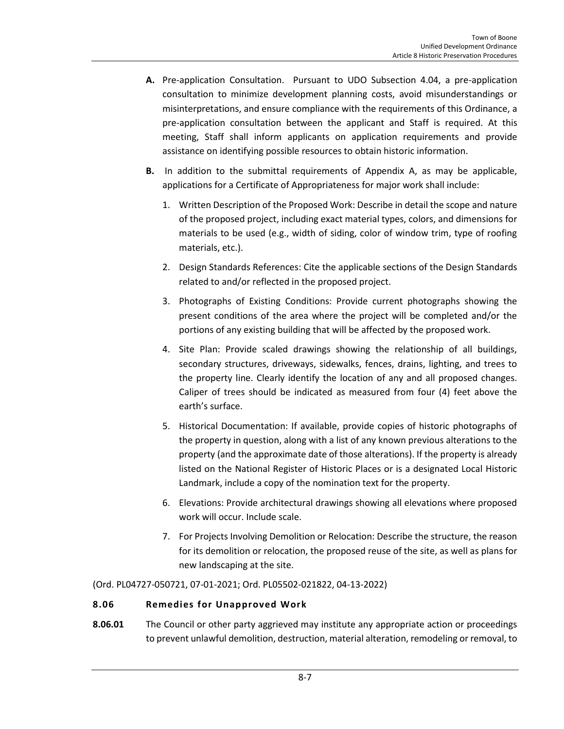- **A.** Pre-application Consultation. Pursuant to UDO Subsection 4.04, a pre-application consultation to minimize development planning costs, avoid misunderstandings or misinterpretations, and ensure compliance with the requirements of this Ordinance, a pre-application consultation between the applicant and Staff is required. At this meeting, Staff shall inform applicants on application requirements and provide assistance on identifying possible resources to obtain historic information.
- **B.** In addition to the submittal requirements of Appendix A, as may be applicable, applications for a Certificate of Appropriateness for major work shall include:
	- 1. Written Description of the Proposed Work: Describe in detail the scope and nature of the proposed project, including exact material types, colors, and dimensions for materials to be used (e.g., width of siding, color of window trim, type of roofing materials, etc.).
	- 2. Design Standards References: Cite the applicable sections of the Design Standards related to and/or reflected in the proposed project.
	- 3. Photographs of Existing Conditions: Provide current photographs showing the present conditions of the area where the project will be completed and/or the portions of any existing building that will be affected by the proposed work.
	- 4. Site Plan: Provide scaled drawings showing the relationship of all buildings, secondary structures, driveways, sidewalks, fences, drains, lighting, and trees to the property line. Clearly identify the location of any and all proposed changes. Caliper of trees should be indicated as measured from four (4) feet above the earth's surface.
	- 5. Historical Documentation: If available, provide copies of historic photographs of the property in question, along with a list of any known previous alterations to the property (and the approximate date of those alterations). If the property is already listed on the National Register of Historic Places or is a designated Local Historic Landmark, include a copy of the nomination text for the property.
	- 6. Elevations: Provide architectural drawings showing all elevations where proposed work will occur. Include scale.
	- 7. For Projects Involving Demolition or Relocation: Describe the structure, the reason for its demolition or relocation, the proposed reuse of the site, as well as plans for new landscaping at the site.

(Ord. PL04727-050721, 07-01-2021; Ord. PL05502-021822, 04-13-2022)

# <span id="page-6-0"></span>**8.06 Remedies for Unapproved Work**

**8.06.01** The Council or other party aggrieved may institute any appropriate action or proceedings to prevent unlawful demolition, destruction, material alteration, remodeling or removal, to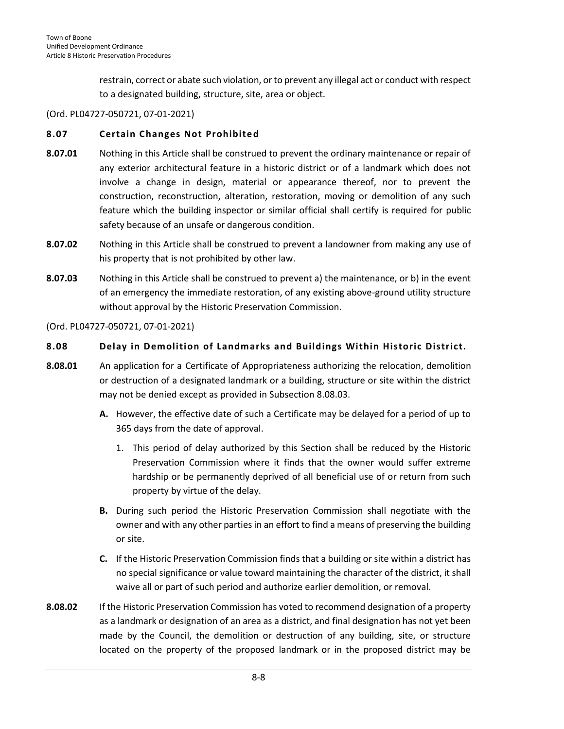restrain, correct or abate such violation, or to prevent any illegal act or conduct with respect to a designated building, structure, site, area or object.

## (Ord. PL04727-050721, 07-01-2021)

# <span id="page-7-0"></span>**8.07 Certain Changes Not Prohibited**

- **8.07.01** Nothing in this Article shall be construed to prevent the ordinary maintenance or repair of any exterior architectural feature in a historic district or of a landmark which does not involve a change in design, material or appearance thereof, nor to prevent the construction, reconstruction, alteration, restoration, moving or demolition of any such feature which the building inspector or similar official shall certify is required for public safety because of an unsafe or dangerous condition.
- **8.07.02** Nothing in this Article shall be construed to prevent a landowner from making any use of his property that is not prohibited by other law.
- **8.07.03** Nothing in this Article shall be construed to prevent a) the maintenance, or b) in the event of an emergency the immediate restoration, of any existing above-ground utility structure without approval by the Historic Preservation Commission.

#### (Ord. PL04727-050721, 07-01-2021)

#### <span id="page-7-1"></span>**8.08 Delay in Demolition of Landmarks and Buildings Within Historic District.**

- **8.08.01** An application for a Certificate of Appropriateness authorizing the relocation, demolition or destruction of a designated landmark or a building, structure or site within the district may not be denied except as provided in Subsection 8.08.03.
	- **A.** However, the effective date of such a Certificate may be delayed for a period of up to 365 days from the date of approval.
		- 1. This period of delay authorized by this Section shall be reduced by the Historic Preservation Commission where it finds that the owner would suffer extreme hardship or be permanently deprived of all beneficial use of or return from such property by virtue of the delay.
	- **B.** During such period the Historic Preservation Commission shall negotiate with the owner and with any other parties in an effort to find a means of preserving the building or site.
	- **C.** If the Historic Preservation Commission finds that a building or site within a district has no special significance or value toward maintaining the character of the district, it shall waive all or part of such period and authorize earlier demolition, or removal.
- **8.08.02** If the Historic Preservation Commission has voted to recommend designation of a property as a landmark or designation of an area as a district, and final designation has not yet been made by the Council, the demolition or destruction of any building, site, or structure located on the property of the proposed landmark or in the proposed district may be